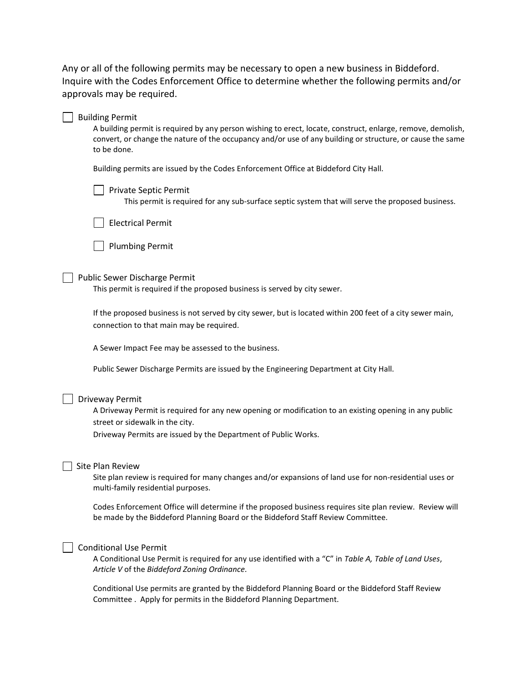Any or all of the following permits may be necessary to open a new business in Biddeford. Inquire with the Codes Enforcement Office to determine whether the following permits and/or approvals may be required.

| <b>Building Permit</b><br>A building permit is required by any person wishing to erect, locate, construct, enlarge, remove, demolish,<br>convert, or change the nature of the occupancy and/or use of any building or structure, or cause the same<br>to be done. |
|-------------------------------------------------------------------------------------------------------------------------------------------------------------------------------------------------------------------------------------------------------------------|
| Building permits are issued by the Codes Enforcement Office at Biddeford City Hall.                                                                                                                                                                               |
| Private Septic Permit<br>This permit is required for any sub-surface septic system that will serve the proposed business.                                                                                                                                         |
| <b>Electrical Permit</b>                                                                                                                                                                                                                                          |
| <b>Plumbing Permit</b>                                                                                                                                                                                                                                            |
| Public Sewer Discharge Permit<br>This permit is required if the proposed business is served by city sewer.                                                                                                                                                        |
| If the proposed business is not served by city sewer, but is located within 200 feet of a city sewer main,<br>connection to that main may be required.                                                                                                            |
| A Sewer Impact Fee may be assessed to the business.                                                                                                                                                                                                               |
| Public Sewer Discharge Permits are issued by the Engineering Department at City Hall.                                                                                                                                                                             |
| Driveway Permit<br>A Driveway Permit is required for any new opening or modification to an existing opening in any public<br>street or sidewalk in the city.<br>Driveway Permits are issued by the Department of Public Works.                                    |
| Site Plan Review<br>Site plan review is required for many changes and/or expansions of land use for non-residential uses or<br>multi-family residential purposes.                                                                                                 |
| Codes Enforcement Office will determine if the proposed business requires site plan review. Review will<br>be made by the Biddeford Planning Board or the Biddeford Staff Review Committee.                                                                       |
| <b>Conditional Use Permit</b><br>A Conditional Use Permit is required for any use identified with a "C" in Table A, Table of Land Uses,<br>Article V of the Biddeford Zoning Ordinance.                                                                           |

Conditional Use permits are granted by the Biddeford Planning Board or the Biddeford Staff Review Committee . Apply for permits in the Biddeford Planning Department.